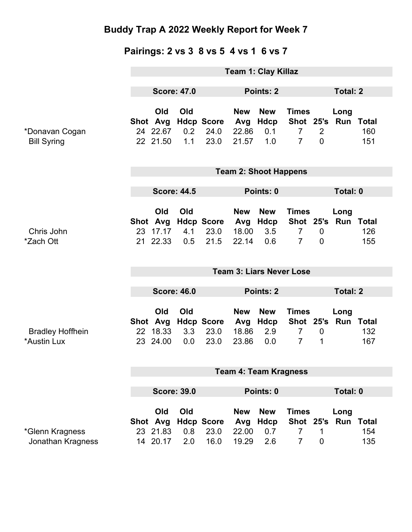### **Pairings: 2 vs 3 8 vs 5 4 vs 1 6 vs 7**

|                                        | <b>Team 1: Clay Killaz</b>      |                                                |                   |                                   |                                     |                                         |                                                                         |                            |                          |                            |
|----------------------------------------|---------------------------------|------------------------------------------------|-------------------|-----------------------------------|-------------------------------------|-----------------------------------------|-------------------------------------------------------------------------|----------------------------|--------------------------|----------------------------|
|                                        | <b>Score: 47.0</b>              |                                                | Points: 2         |                                   |                                     |                                         | <b>Total: 2</b>                                                         |                            |                          |                            |
| *Donavan Cogan<br><b>Bill Syring</b>   |                                 | <b>Old</b><br>Shot Avg<br>24 22.67<br>22 21.50 | Old<br>0.2<br>1.1 | <b>Hdcp Score</b><br>24.0<br>23.0 | <b>New</b><br>Avg<br>22.86<br>21.57 | <b>New</b><br>Hdcp<br>0.1<br>1.0        | <b>Times</b><br>Shot 25's<br>$\overline{7}$<br>$\overline{7}$           | 2<br>$\overline{0}$        | Long<br>Run              | <b>Total</b><br>160<br>151 |
|                                        | <b>Team 2: Shoot Happens</b>    |                                                |                   |                                   |                                     |                                         |                                                                         |                            |                          |                            |
|                                        | <b>Score: 44.5</b>              |                                                |                   | Points: 0                         |                                     |                                         |                                                                         | Total: 0                   |                          |                            |
| Chris John<br>*Zach Ott                |                                 | Old<br>Shot Avg<br>23 17.17<br>21 22.33        | Old<br>4.1<br>0.5 | <b>Hdcp Score</b><br>23.0<br>21.5 | <b>New</b><br>Avg<br>18.00<br>22.14 | <b>New</b><br>Hdcp<br>3.5<br>0.6        | <b>Times</b><br>Shot 25's Run Total<br>$\overline{7}$<br>$\overline{7}$ | $\mathbf 0$<br>$\mathbf 0$ | Long                     | 126<br>155                 |
|                                        | <b>Team 3: Liars Never Lose</b> |                                                |                   |                                   |                                     |                                         |                                                                         |                            |                          |                            |
|                                        | <b>Score: 46.0</b>              |                                                |                   | Points: 2                         |                                     |                                         |                                                                         | <b>Total: 2</b>            |                          |                            |
| <b>Bradley Hoffhein</b><br>*Austin Lux |                                 | <b>Old</b><br>Shot Avg<br>22 18.33<br>23 24.00 | Old<br>3.3<br>0.0 | <b>Hdcp Score</b><br>23.0<br>23.0 | <b>New</b><br>Avg<br>18.86<br>23.86 | <b>New</b><br>Hdcp<br>2.9<br>0.0        | <b>Times</b><br>Shot 25's<br>$\overline{7}$<br>$\overline{7}$           | $\mathbf 0$<br>1           | Long                     | Run Total<br>132<br>167    |
|                                        | <b>Team 4: Team Kragness</b>    |                                                |                   |                                   |                                     |                                         |                                                                         |                            |                          |                            |
|                                        |                                 |                                                |                   |                                   |                                     |                                         |                                                                         |                            |                          |                            |
|                                        | <b>Score: 39.0</b><br>Points: 0 |                                                |                   |                                   | Total: 0                            |                                         |                                                                         |                            |                          |                            |
| *Glenn Kragness<br>Jonathan Kragness   |                                 | Old<br>Shot Avg<br>23 21.83<br>14 20.17        | Old<br>0.8<br>2.0 | <b>Hdcp Score</b><br>23.0<br>16.0 | <b>New</b><br>Avg<br>22.00<br>19.29 | <b>New</b><br><b>Hdcp</b><br>0.7<br>2.6 | <b>Times</b><br>Shot 25's<br>$\overline{7}$<br>$\overline{7}$           | 1<br>$\mathbf 0$           | Long<br><b>Run Total</b> | 154<br>135                 |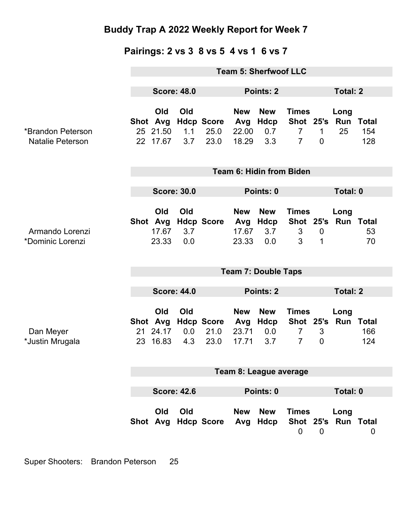### **Pairings: 2 vs 3 8 vs 5 4 vs 1 6 vs 7**

|                                              | <b>Team 5: Sherfwoof LLC</b> |                                         |                   |                                   |                                     |                                  |                                                               |                             |                             |                            |
|----------------------------------------------|------------------------------|-----------------------------------------|-------------------|-----------------------------------|-------------------------------------|----------------------------------|---------------------------------------------------------------|-----------------------------|-----------------------------|----------------------------|
|                                              | <b>Score: 48.0</b>           |                                         | Points: 2         |                                   |                                     |                                  | <b>Total: 2</b>                                               |                             |                             |                            |
| *Brandon Peterson<br><b>Natalie Peterson</b> |                              | Old<br>Shot Avg<br>25 21.50<br>22 17.67 | Old<br>1.1<br>3.7 | <b>Hdcp Score</b><br>25.0<br>23.0 | <b>New</b><br>Avg<br>22.00<br>18.29 | <b>New</b><br>Hdcp<br>0.7<br>3.3 | <b>Times</b><br>Shot 25's<br>$\overline{7}$<br>$\overline{7}$ | $\mathbf{1}$<br>$\mathbf 0$ | Long<br>Run<br>25           | <b>Total</b><br>154<br>128 |
|                                              | Team 6: Hidin from Biden     |                                         |                   |                                   |                                     |                                  |                                                               |                             |                             |                            |
|                                              | <b>Score: 30.0</b>           |                                         |                   | Points: 0                         |                                     |                                  |                                                               | Total: 0                    |                             |                            |
| Armando Lorenzi<br>*Dominic Lorenzi          |                              | Old<br>Shot Avg<br>17.67<br>23.33       | Old<br>3.7<br>0.0 | <b>Hdcp Score</b>                 | <b>New</b><br>Avg<br>17.67<br>23.33 | <b>New</b><br>Hdcp<br>3.7<br>0.0 | <b>Times</b><br>3<br>3                                        | $\mathbf 0$<br>1            | Long<br>Shot 25's Run Total | 53<br>70                   |
|                                              | <b>Team 7: Double Taps</b>   |                                         |                   |                                   |                                     |                                  |                                                               |                             |                             |                            |
|                                              | <b>Score: 44.0</b>           |                                         |                   |                                   | <b>Points: 2</b>                    |                                  |                                                               |                             | <b>Total: 2</b>             |                            |
|                                              |                              | Old<br>Shot Avg                         | Old               | <b>Hdcp Score</b>                 | <b>New</b><br>Avg                   | <b>New</b><br>Hdcp               | <b>Times</b><br>Shot 25's                                     |                             | Long                        | <b>Run Total</b>           |
| Dan Meyer<br>*Justin Mrugala                 |                              | 21 24.17<br>23 16.83                    | 0.0<br>4.3        | 21.0<br>23.0                      | 23.71<br>17.71                      | 0.0<br>3.7                       | $\overline{7}$<br>$\overline{7}$                              | 3<br>$\overline{0}$         |                             | 166<br>124                 |
|                                              | Team 8: League average       |                                         |                   |                                   |                                     |                                  |                                                               |                             |                             |                            |
|                                              | <b>Score: 42.6</b>           |                                         | Points: 0         |                                   |                                     |                                  | Total: 0                                                      |                             |                             |                            |
|                                              |                              | Old                                     | Old               | Shot Avg Hdcp Score               | <b>New</b>                          | <b>New</b><br>Avg Hdcp           | <b>Times</b><br>$\mathbf 0$                                   | $\overline{0}$              | Long<br>Shot 25's Run Total | $\mathbf 0$                |

Super Shooters: Brandon Peterson 25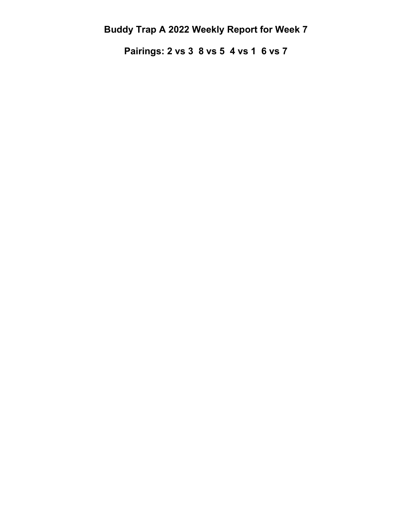**Pairings: 2 vs 3 8 vs 5 4 vs 1 6 vs 7**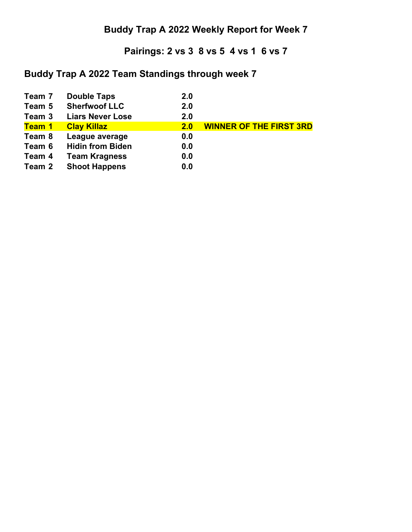### **Pairings: 2 vs 3 8 vs 5 4 vs 1 6 vs 7**

### **Buddy Trap A 2022 Team Standings through week 7**

| Team 7        | <b>Double Taps</b>      | 2.0 |                                |
|---------------|-------------------------|-----|--------------------------------|
| Team 5        | <b>Sherfwoof LLC</b>    | 2.0 |                                |
| Team 3        | <b>Liars Never Lose</b> | 2.0 |                                |
| <b>Team 1</b> | <b>Clay Killaz</b>      | 2.0 | <b>WINNER OF THE FIRST 3RD</b> |
| Team 8        | League average          | 0.0 |                                |
| Team 6        | <b>Hidin from Biden</b> | 0.0 |                                |
| Team 4        | <b>Team Kragness</b>    | 0.0 |                                |
| Team 2        | <b>Shoot Happens</b>    | 0.0 |                                |